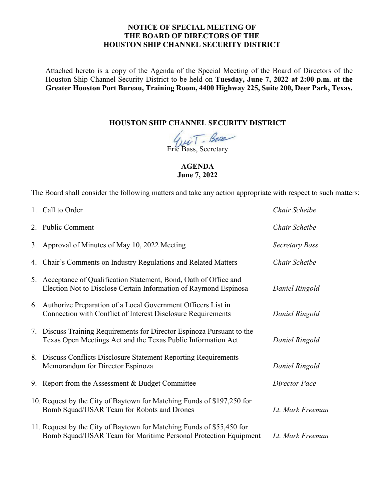## **NOTICE OF SPECIAL MEETING OF THE BOARD OF DIRECTORS OF THE HOUSTON SHIP CHANNEL SECURITY DISTRICT**

Attached hereto is a copy of the Agenda of the Special Meeting of the Board of Directors of the Houston Ship Channel Security District to be held on **Tuesday, June 7, 2022 at 2:00 p.m. at the Greater Houston Port Bureau, Training Room, 4400 Highway 225, Suite 200, Deer Park, Texas.** 

## **HOUSTON SHIP CHANNEL SECURITY DISTRICT**

 $\sqrt{\mu\tilde{v}T}$ . Base

## **AGENDA June 7, 2022**

The Board shall consider the following matters and take any action appropriate with respect to such matters:

|    | 1. Call to Order                                                                                                                         | Chair Scheibe        |
|----|------------------------------------------------------------------------------------------------------------------------------------------|----------------------|
|    | 2. Public Comment                                                                                                                        | Chair Scheibe        |
|    | 3. Approval of Minutes of May 10, 2022 Meeting                                                                                           | Secretary Bass       |
|    | 4. Chair's Comments on Industry Regulations and Related Matters                                                                          | Chair Scheibe        |
| 5. | Acceptance of Qualification Statement, Bond, Oath of Office and<br>Election Not to Disclose Certain Information of Raymond Espinosa      | Daniel Ringold       |
|    | 6. Authorize Preparation of a Local Government Officers List in<br>Connection with Conflict of Interest Disclosure Requirements          | Daniel Ringold       |
|    | 7. Discuss Training Requirements for Director Espinoza Pursuant to the<br>Texas Open Meetings Act and the Texas Public Information Act   | Daniel Ringold       |
|    | 8. Discuss Conflicts Disclosure Statement Reporting Requirements<br>Memorandum for Director Espinoza                                     | Daniel Ringold       |
|    | 9. Report from the Assessment & Budget Committee                                                                                         | <b>Director Pace</b> |
|    | 10. Request by the City of Baytown for Matching Funds of \$197,250 for<br>Bomb Squad/USAR Team for Robots and Drones                     | Lt. Mark Freeman     |
|    | 11. Request by the City of Baytown for Matching Funds of \$55,450 for<br>Bomb Squad/USAR Team for Maritime Personal Protection Equipment | Lt. Mark Freeman     |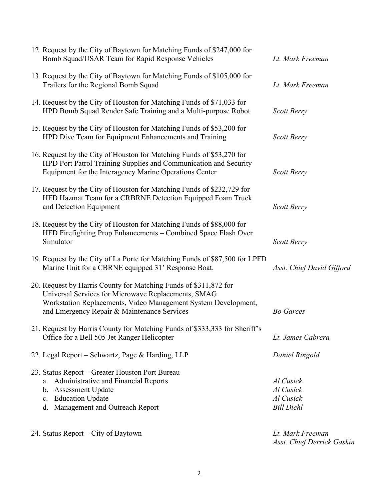| 12. Request by the City of Baytown for Matching Funds of \$247,000 for<br>Bomb Squad/USAR Team for Rapid Response Vehicles                                                                                                               | Lt. Mark Freeman                                         |
|------------------------------------------------------------------------------------------------------------------------------------------------------------------------------------------------------------------------------------------|----------------------------------------------------------|
| 13. Request by the City of Baytown for Matching Funds of \$105,000 for<br>Trailers for the Regional Bomb Squad                                                                                                                           | Lt. Mark Freeman                                         |
| 14. Request by the City of Houston for Matching Funds of \$71,033 for<br>HPD Bomb Squad Render Safe Training and a Multi-purpose Robot                                                                                                   | Scott Berry                                              |
| 15. Request by the City of Houston for Matching Funds of \$53,200 for<br>HPD Dive Team for Equipment Enhancements and Training                                                                                                           | Scott Berry                                              |
| 16. Request by the City of Houston for Matching Funds of \$53,270 for<br>HPD Port Patrol Training Supplies and Communication and Security<br>Equipment for the Interagency Marine Operations Center                                      | Scott Berry                                              |
| 17. Request by the City of Houston for Matching Funds of \$232,729 for<br>HFD Hazmat Team for a CRBRNE Detection Equipped Foam Truck<br>and Detection Equipment                                                                          | Scott Berry                                              |
| 18. Request by the City of Houston for Matching Funds of \$88,000 for<br>HFD Firefighting Prop Enhancements - Combined Space Flash Over<br>Simulator                                                                                     | Scott Berry                                              |
| 19. Request by the City of La Porte for Matching Funds of \$87,500 for LPFD<br>Marine Unit for a CBRNE equipped 31' Response Boat.                                                                                                       | Asst. Chief David Gifford                                |
| 20. Request by Harris County for Matching Funds of \$311,872 for<br>Universal Services for Microwave Replacements, SMAG<br>Workstation Replacements, Video Management System Development,<br>and Emergency Repair & Maintenance Services | <b>Bo Garces</b>                                         |
| 21. Request by Harris County for Matching Funds of \$333,333 for Sheriff's<br>Office for a Bell 505 Jet Ranger Helicopter                                                                                                                | Lt. James Cabrera                                        |
| 22. Legal Report – Schwartz, Page & Harding, LLP                                                                                                                                                                                         | Daniel Ringold                                           |
| 23. Status Report – Greater Houston Port Bureau<br>a. Administrative and Financial Reports<br>b. Assessment Update<br>c. Education Update<br>d. Management and Outreach Report                                                           | Al Cusick<br>Al Cusick<br>Al Cusick<br><b>Bill Diehl</b> |
| 24. Status Report – City of Baytown                                                                                                                                                                                                      | Lt. Mark Freeman<br>Asst. Chief Derrick Gaskin           |